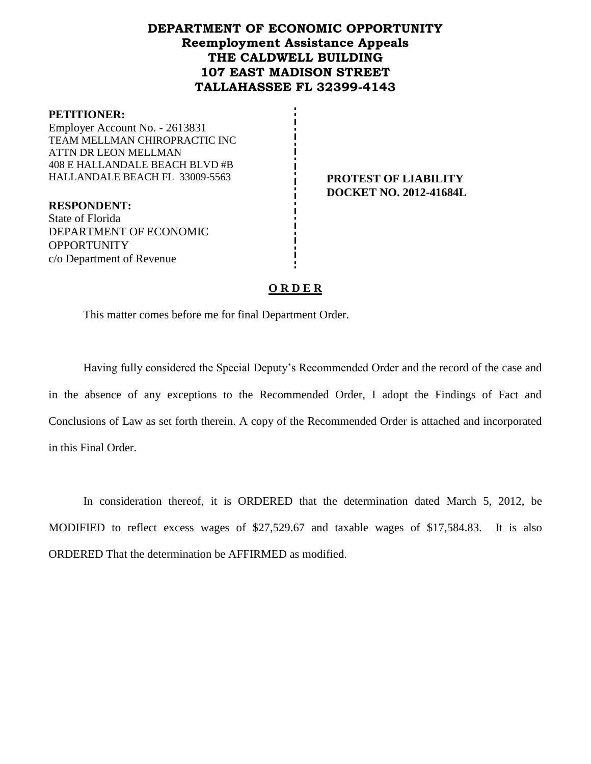## **DEPARTMENT OF ECONOMIC OPPORTUNITY Reemployment Assistance Appeals THE CALDWELL BUILDING 107 EAST MADISON STREET TALLAHASSEE FL 32399-4143**

#### **PETITIONER:**

Employer Account No. - 2613831 TEAM MELLMAN CHIROPRACTIC INC ATTN DR LEON MELLMAN 408 E HALLANDALE BEACH BLVD #B HALLANDALE BEACH FL 33009-5563 **PROTEST OF LIABILITY**

**RESPONDENT:** State of Florida DEPARTMENT OF ECONOMIC **OPPORTUNITY** c/o Department of Revenue

**DOCKET NO. 2012-41684L**

## **O R D E R**

This matter comes before me for final Department Order.

Having fully considered the Special Deputy's Recommended Order and the record of the case and in the absence of any exceptions to the Recommended Order, I adopt the Findings of Fact and Conclusions of Law as set forth therein. A copy of the Recommended Order is attached and incorporated in this Final Order.

In consideration thereof, it is ORDERED that the determination dated March 5, 2012, be MODIFIED to reflect excess wages of \$27,529.67 and taxable wages of \$17,584.83. It is also ORDERED That the determination be AFFIRMED as modified.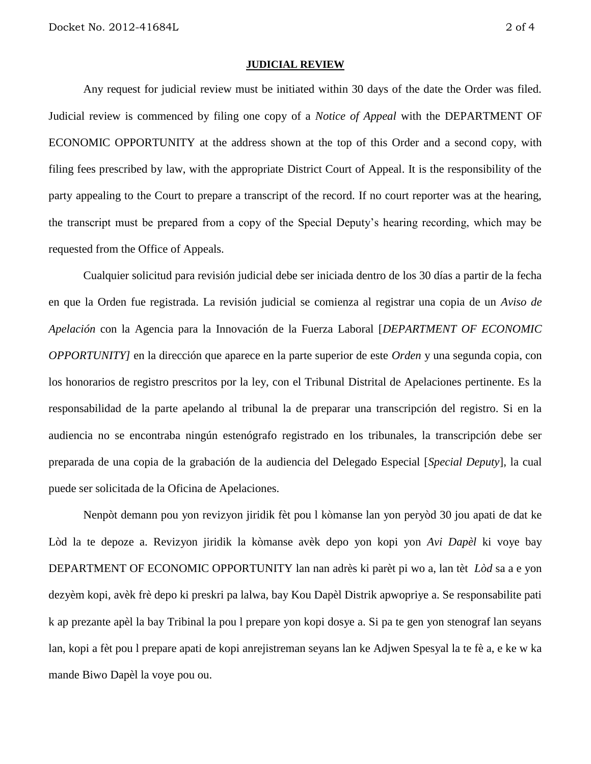#### **JUDICIAL REVIEW**

Any request for judicial review must be initiated within 30 days of the date the Order was filed. Judicial review is commenced by filing one copy of a *Notice of Appeal* with the DEPARTMENT OF ECONOMIC OPPORTUNITY at the address shown at the top of this Order and a second copy, with filing fees prescribed by law, with the appropriate District Court of Appeal. It is the responsibility of the party appealing to the Court to prepare a transcript of the record. If no court reporter was at the hearing, the transcript must be prepared from a copy of the Special Deputy's hearing recording, which may be requested from the Office of Appeals.

Cualquier solicitud para revisión judicial debe ser iniciada dentro de los 30 días a partir de la fecha en que la Orden fue registrada. La revisión judicial se comienza al registrar una copia de un *Aviso de Apelación* con la Agencia para la Innovación de la Fuerza Laboral [*DEPARTMENT OF ECONOMIC OPPORTUNITY]* en la dirección que aparece en la parte superior de este *Orden* y una segunda copia, con los honorarios de registro prescritos por la ley, con el Tribunal Distrital de Apelaciones pertinente. Es la responsabilidad de la parte apelando al tribunal la de preparar una transcripción del registro. Si en la audiencia no se encontraba ningún estenógrafo registrado en los tribunales, la transcripción debe ser preparada de una copia de la grabación de la audiencia del Delegado Especial [*Special Deputy*], la cual puede ser solicitada de la Oficina de Apelaciones.

Nenpòt demann pou yon revizyon jiridik fèt pou l kòmanse lan yon peryòd 30 jou apati de dat ke Lòd la te depoze a. Revizyon jiridik la kòmanse avèk depo yon kopi yon *Avi Dapèl* ki voye bay DEPARTMENT OF ECONOMIC OPPORTUNITY lan nan adrès ki parèt pi wo a, lan tèt *Lòd* sa a e yon dezyèm kopi, avèk frè depo ki preskri pa lalwa, bay Kou Dapèl Distrik apwopriye a. Se responsabilite pati k ap prezante apèl la bay Tribinal la pou l prepare yon kopi dosye a. Si pa te gen yon stenograf lan seyans lan, kopi a fèt pou l prepare apati de kopi anrejistreman seyans lan ke Adjwen Spesyal la te fè a, e ke w ka mande Biwo Dapèl la voye pou ou.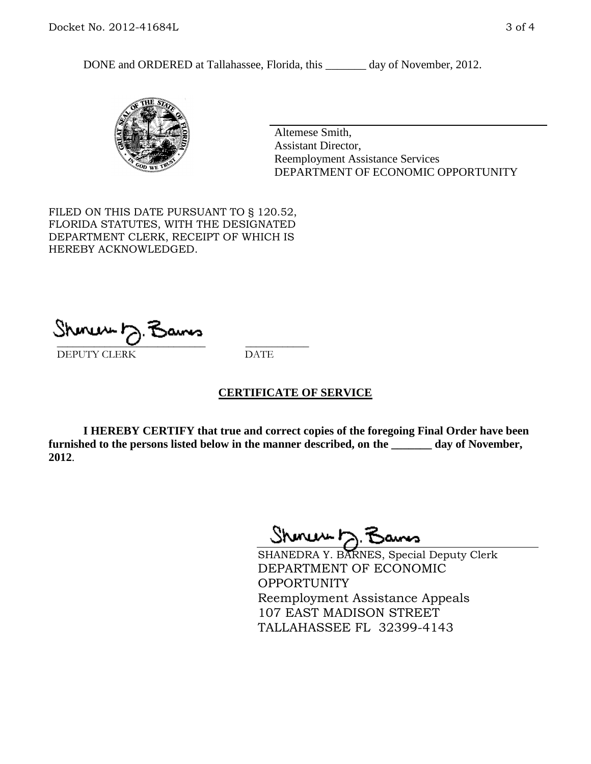DONE and ORDERED at Tallahassee, Florida, this \_\_\_\_\_\_\_ day of November, 2012.



Altemese Smith, Assistant Director, Reemployment Assistance Services DEPARTMENT OF ECONOMIC OPPORTUNITY

FILED ON THIS DATE PURSUANT TO § 120.52, FLORIDA STATUTES, WITH THE DESIGNATED DEPARTMENT CLERK, RECEIPT OF WHICH IS HEREBY ACKNOWLEDGED.

 $\overline{\phantom{a}}$  ,  $\overline{\phantom{a}}$  ,  $\overline{\phantom{a}}$  ,  $\overline{\phantom{a}}$  ,  $\overline{\phantom{a}}$  ,  $\overline{\phantom{a}}$  ,  $\overline{\phantom{a}}$  ,  $\overline{\phantom{a}}$ DEPUTY CLERK DATE

#### **CERTIFICATE OF SERVICE**

**I HEREBY CERTIFY that true and correct copies of the foregoing Final Order have been furnished to the persons listed below in the manner described, on the \_\_\_\_\_\_\_ day of November, 2012**.

Shoner D. Bans

SHANEDRA Y. BARNES, Special Deputy Clerk DEPARTMENT OF ECONOMIC OPPORTUNITY Reemployment Assistance Appeals 107 EAST MADISON STREET TALLAHASSEE FL 32399-4143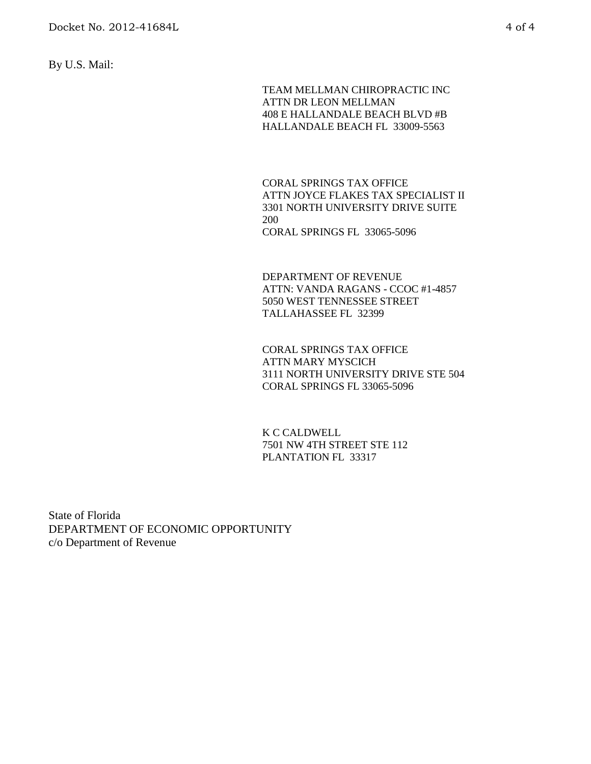By U.S. Mail:

TEAM MELLMAN CHIROPRACTIC INC ATTN DR LEON MELLMAN 408 E HALLANDALE BEACH BLVD #B HALLANDALE BEACH FL 33009-5563

CORAL SPRINGS TAX OFFICE ATTN JOYCE FLAKES TAX SPECIALIST II 3301 NORTH UNIVERSITY DRIVE SUITE 200 CORAL SPRINGS FL 33065-5096

DEPARTMENT OF REVENUE ATTN: VANDA RAGANS - CCOC #1-4857 5050 WEST TENNESSEE STREET TALLAHASSEE FL 32399

CORAL SPRINGS TAX OFFICE ATTN MARY MYSCICH 3111 NORTH UNIVERSITY DRIVE STE 504 CORAL SPRINGS FL 33065-5096

K C CALDWELL 7501 NW 4TH STREET STE 112 PLANTATION FL 33317

State of Florida DEPARTMENT OF ECONOMIC OPPORTUNITY c/o Department of Revenue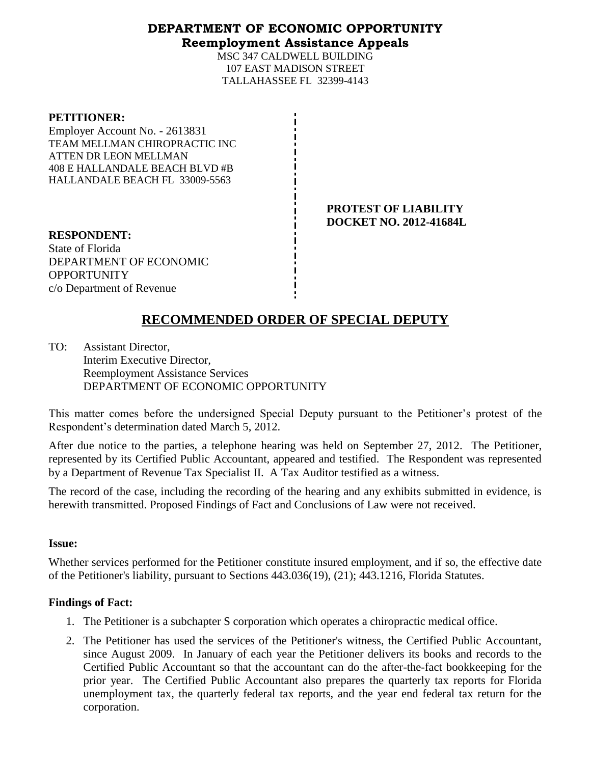### **DEPARTMENT OF ECONOMIC OPPORTUNITY Reemployment Assistance Appeals**

MSC 347 CALDWELL BUILDING 107 EAST MADISON STREET TALLAHASSEE FL 32399-4143

**PETITIONER:** Employer Account No. - 2613831 TEAM MELLMAN CHIROPRACTIC INC ATTEN DR LEON MELLMAN 408 E HALLANDALE BEACH BLVD #B HALLANDALE BEACH FL 33009-5563

> **PROTEST OF LIABILITY DOCKET NO. 2012-41684L**

**RESPONDENT:** State of Florida DEPARTMENT OF ECONOMIC **OPPORTUNITY** c/o Department of Revenue

# **RECOMMENDED ORDER OF SPECIAL DEPUTY**

TO: Assistant Director, Interim Executive Director, Reemployment Assistance Services DEPARTMENT OF ECONOMIC OPPORTUNITY

This matter comes before the undersigned Special Deputy pursuant to the Petitioner's protest of the Respondent's determination dated March 5, 2012.

After due notice to the parties, a telephone hearing was held on September 27, 2012. The Petitioner, represented by its Certified Public Accountant, appeared and testified. The Respondent was represented by a Department of Revenue Tax Specialist II. A Tax Auditor testified as a witness.

The record of the case, including the recording of the hearing and any exhibits submitted in evidence, is herewith transmitted. Proposed Findings of Fact and Conclusions of Law were not received.

### **Issue:**

Whether services performed for the Petitioner constitute insured employment, and if so, the effective date of the Petitioner's liability, pursuant to Sections 443.036(19), (21); 443.1216, Florida Statutes.

### **Findings of Fact:**

- 1. The Petitioner is a subchapter S corporation which operates a chiropractic medical office.
- 2. The Petitioner has used the services of the Petitioner's witness, the Certified Public Accountant, since August 2009. In January of each year the Petitioner delivers its books and records to the Certified Public Accountant so that the accountant can do the after-the-fact bookkeeping for the prior year. The Certified Public Accountant also prepares the quarterly tax reports for Florida unemployment tax, the quarterly federal tax reports, and the year end federal tax return for the corporation.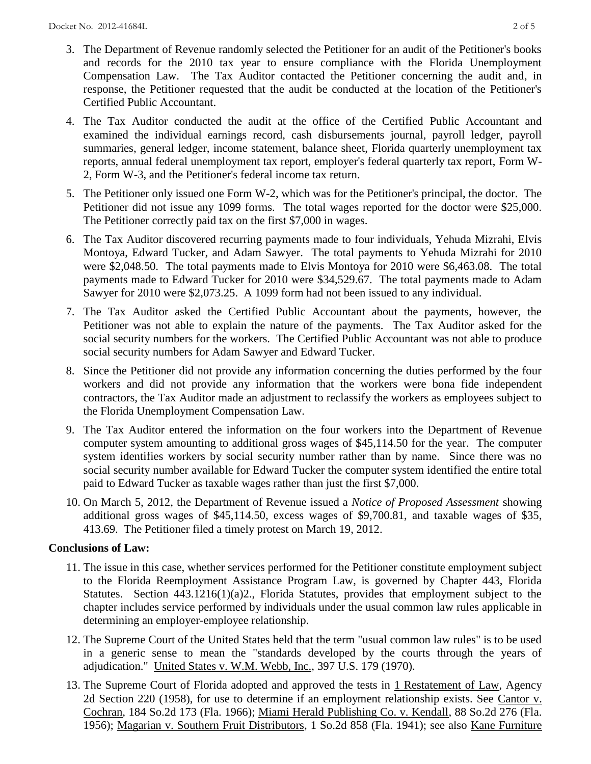- 3. The Department of Revenue randomly selected the Petitioner for an audit of the Petitioner's books and records for the 2010 tax year to ensure compliance with the Florida Unemployment Compensation Law. The Tax Auditor contacted the Petitioner concerning the audit and, in response, the Petitioner requested that the audit be conducted at the location of the Petitioner's Certified Public Accountant.
- 4. The Tax Auditor conducted the audit at the office of the Certified Public Accountant and examined the individual earnings record, cash disbursements journal, payroll ledger, payroll summaries, general ledger, income statement, balance sheet, Florida quarterly unemployment tax reports, annual federal unemployment tax report, employer's federal quarterly tax report, Form W-2, Form W-3, and the Petitioner's federal income tax return.
- 5. The Petitioner only issued one Form W-2, which was for the Petitioner's principal, the doctor. The Petitioner did not issue any 1099 forms. The total wages reported for the doctor were \$25,000. The Petitioner correctly paid tax on the first \$7,000 in wages.
- 6. The Tax Auditor discovered recurring payments made to four individuals, Yehuda Mizrahi, Elvis Montoya, Edward Tucker, and Adam Sawyer. The total payments to Yehuda Mizrahi for 2010 were \$2,048.50. The total payments made to Elvis Montoya for 2010 were \$6,463.08. The total payments made to Edward Tucker for 2010 were \$34,529.67. The total payments made to Adam Sawyer for 2010 were \$2,073.25. A 1099 form had not been issued to any individual.
- 7. The Tax Auditor asked the Certified Public Accountant about the payments, however, the Petitioner was not able to explain the nature of the payments. The Tax Auditor asked for the social security numbers for the workers. The Certified Public Accountant was not able to produce social security numbers for Adam Sawyer and Edward Tucker.
- 8. Since the Petitioner did not provide any information concerning the duties performed by the four workers and did not provide any information that the workers were bona fide independent contractors, the Tax Auditor made an adjustment to reclassify the workers as employees subject to the Florida Unemployment Compensation Law.
- 9. The Tax Auditor entered the information on the four workers into the Department of Revenue computer system amounting to additional gross wages of \$45,114.50 for the year. The computer system identifies workers by social security number rather than by name. Since there was no social security number available for Edward Tucker the computer system identified the entire total paid to Edward Tucker as taxable wages rather than just the first \$7,000.
- 10. On March 5, 2012, the Department of Revenue issued a *Notice of Proposed Assessment* showing additional gross wages of \$45,114.50, excess wages of \$9,700.81, and taxable wages of \$35, 413.69. The Petitioner filed a timely protest on March 19, 2012.

### **Conclusions of Law:**

- 11. The issue in this case, whether services performed for the Petitioner constitute employment subject to the Florida Reemployment Assistance Program Law, is governed by Chapter 443, Florida Statutes. Section 443.1216(1)(a)2., Florida Statutes, provides that employment subject to the chapter includes service performed by individuals under the usual common law rules applicable in determining an employer-employee relationship.
- 12. The Supreme Court of the United States held that the term "usual common law rules" is to be used in a generic sense to mean the "standards developed by the courts through the years of adjudication." United States v. W.M. Webb, Inc., 397 U.S. 179 (1970).
- 13. The Supreme Court of Florida adopted and approved the tests in 1 Restatement of Law, Agency 2d Section 220 (1958), for use to determine if an employment relationship exists. See Cantor v. Cochran, 184 So.2d 173 (Fla. 1966); Miami Herald Publishing Co. v. Kendall, 88 So.2d 276 (Fla. 1956); Magarian v. Southern Fruit Distributors, 1 So.2d 858 (Fla. 1941); see also Kane Furniture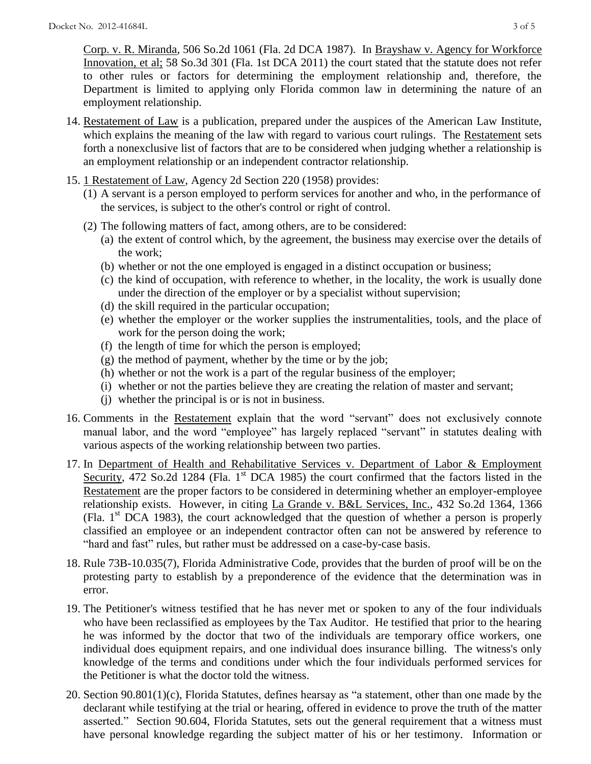Corp. v. R. Miranda, 506 So.2d 1061 (Fla. 2d DCA 1987). In Brayshaw v. Agency for Workforce Innovation, et al; 58 So.3d 301 (Fla. 1st DCA 2011) the court stated that the statute does not refer to other rules or factors for determining the employment relationship and, therefore, the Department is limited to applying only Florida common law in determining the nature of an employment relationship.

- 14. Restatement of Law is a publication, prepared under the auspices of the American Law Institute, which explains the meaning of the law with regard to various court rulings. The Restatement sets forth a nonexclusive list of factors that are to be considered when judging whether a relationship is an employment relationship or an independent contractor relationship.
- 15. 1 Restatement of Law, Agency 2d Section 220 (1958) provides:
	- (1) A servant is a person employed to perform services for another and who, in the performance of the services, is subject to the other's control or right of control.
	- (2) The following matters of fact, among others, are to be considered:
		- (a) the extent of control which, by the agreement, the business may exercise over the details of the work;
		- (b) whether or not the one employed is engaged in a distinct occupation or business;
		- (c) the kind of occupation, with reference to whether, in the locality, the work is usually done under the direction of the employer or by a specialist without supervision;
		- (d) the skill required in the particular occupation;
		- (e) whether the employer or the worker supplies the instrumentalities, tools, and the place of work for the person doing the work;
		- (f) the length of time for which the person is employed;
		- (g) the method of payment, whether by the time or by the job;
		- (h) whether or not the work is a part of the regular business of the employer;
		- (i) whether or not the parties believe they are creating the relation of master and servant;
		- (j) whether the principal is or is not in business.
- 16. Comments in the Restatement explain that the word "servant" does not exclusively connote manual labor, and the word "employee" has largely replaced "servant" in statutes dealing with various aspects of the working relationship between two parties.
- 17. In Department of Health and Rehabilitative Services v. Department of Labor & Employment Security, 472 So.2d 1284 (Fla. 1<sup>st</sup> DCA 1985) the court confirmed that the factors listed in the Restatement are the proper factors to be considered in determining whether an employer-employee relationship exists. However, in citing La Grande v. B&L Services, Inc., 432 So.2d 1364, 1366 (Fla.  $1<sup>st</sup> DCA$  1983), the court acknowledged that the question of whether a person is properly classified an employee or an independent contractor often can not be answered by reference to "hard and fast" rules, but rather must be addressed on a case-by-case basis.
- 18. Rule 73B-10.035(7), Florida Administrative Code, provides that the burden of proof will be on the protesting party to establish by a preponderence of the evidence that the determination was in error.
- 19. The Petitioner's witness testified that he has never met or spoken to any of the four individuals who have been reclassified as employees by the Tax Auditor. He testified that prior to the hearing he was informed by the doctor that two of the individuals are temporary office workers, one individual does equipment repairs, and one individual does insurance billing. The witness's only knowledge of the terms and conditions under which the four individuals performed services for the Petitioner is what the doctor told the witness.
- 20. Section 90.801(1)(c), Florida Statutes, defines hearsay as "a statement, other than one made by the declarant while testifying at the trial or hearing, offered in evidence to prove the truth of the matter asserted." Section 90.604, Florida Statutes, sets out the general requirement that a witness must have personal knowledge regarding the subject matter of his or her testimony. Information or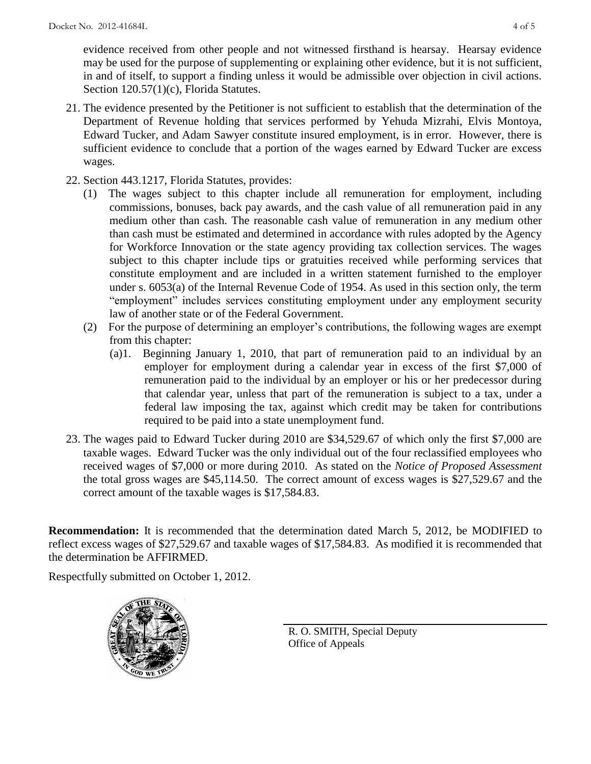evidence received from other people and not witnessed firsthand is hearsay. Hearsay evidence may be used for the purpose of supplementing or explaining other evidence, but it is not sufficient, in and of itself, to support a finding unless it would be admissible over objection in civil actions. Section 120.57(1)(c), Florida Statutes.

- 21. The evidence presented by the Petitioner is not sufficient to establish that the determination of the Department of Revenue holding that services performed by Yehuda Mizrahi, Elvis Montoya, Edward Tucker, and Adam Sawyer constitute insured employment, is in error. However, there is sufficient evidence to conclude that a portion of the wages earned by Edward Tucker are excess wages.
- 22. Section 443.1217, Florida Statutes, provides:
	- (1) The wages subject to this chapter include all remuneration for employment, including commissions, bonuses, back pay awards, and the cash value of all remuneration paid in any medium other than cash. The reasonable cash value of remuneration in any medium other than cash must be estimated and determined in accordance with rules adopted by the Agency for Workforce Innovation or the state agency providing tax collection services. The wages subject to this chapter include tips or gratuities received while performing services that constitute employment and are included in a written statement furnished to the employer under s. 6053(a) of the Internal Revenue Code of 1954. As used in this section only, the term "employment" includes services constituting employment under any employment security law of another state or of the Federal Government.
	- (2) For the purpose of determining an employer's contributions, the following wages are exempt from this chapter:
		- (a)1. Beginning January 1, 2010, that part of remuneration paid to an individual by an employer for employment during a calendar year in excess of the first \$7,000 of remuneration paid to the individual by an employer or his or her predecessor during that calendar year, unless that part of the remuneration is subject to a tax, under a federal law imposing the tax, against which credit may be taken for contributions required to be paid into a state unemployment fund.
- 23. The wages paid to Edward Tucker during 2010 are \$34,529.67 of which only the first \$7,000 are taxable wages. Edward Tucker was the only individual out of the four reclassified employees who received wages of \$7,000 or more during 2010. As stated on the *Notice of Proposed Assessment* the total gross wages are \$45,114.50. The correct amount of excess wages is \$27,529.67 and the correct amount of the taxable wages is \$17,584.83.

**Recommendation:** It is recommended that the determination dated March 5, 2012, be MODIFIED to reflect excess wages of \$27,529.67 and taxable wages of \$17,584.83. As modified it is recommended that the determination be AFFIRMED.

Respectfully submitted on October 1, 2012.



R. O. SMITH, Special Deputy Office of Appeals